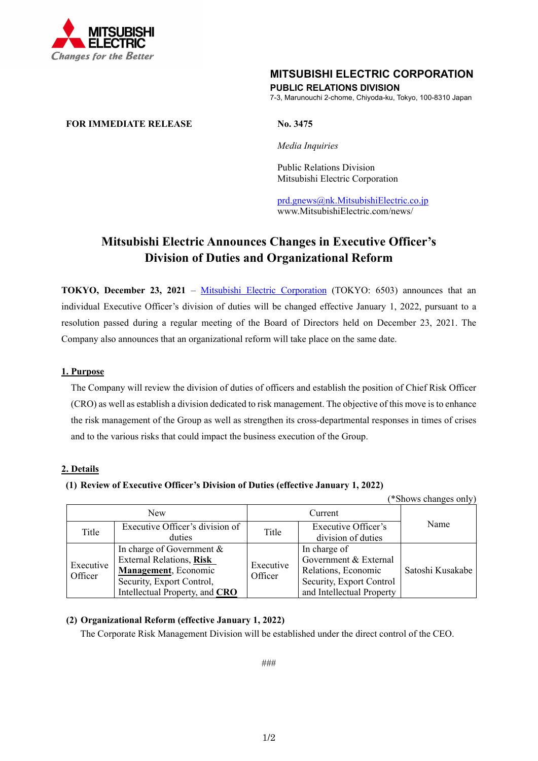

## **MITSUBISHI ELECTRIC CORPORATION PUBLIC RELATIONS DIVISION**

7-3, Marunouchi 2-chome, Chiyoda-ku, Tokyo, 100-8310 Japan

### **FOR IMMEDIATE RELEASE No. 3475**

*Media Inquiries* 

 Public Relations Division Mitsubishi Electric Corporation

prd.gnews@nk.MitsubishiElectric.co.jp www.MitsubishiElectric.com/news/

# **Mitsubishi Electric Announces Changes in Executive Officer's Division of Duties and Organizational Reform**

**TOKYO, December 23, 2021** – Mitsubishi Electric Corporation (TOKYO: 6503) announces that an individual Executive Officer's division of duties will be changed effective January 1, 2022, pursuant to a resolution passed during a regular meeting of the Board of Directors held on December 23, 2021. The Company also announces that an organizational reform will take place on the same date.

#### **1. Purpose**

The Company will review the division of duties of officers and establish the position of Chief Risk Officer (CRO) as well as establish a division dedicated to risk management. The objective of this move is to enhance the risk management of the Group as well as strengthen its cross-departmental responses in times of crises and to the various risks that could impact the business execution of the Group.

## **2. Details**

#### **(1) Review of Executive Officer's Division of Duties (effective January 1, 2022)**

| (*Shows changes only) |                                 |                      |                           |                  |
|-----------------------|---------------------------------|----------------------|---------------------------|------------------|
| <b>New</b>            |                                 | Current              |                           |                  |
| Title                 | Executive Officer's division of | Title                | Executive Officer's       | Name             |
|                       | duties                          |                      | division of duties        |                  |
| Executive<br>Officer  | In charge of Government &       | Executive<br>Officer | In charge of              |                  |
|                       | <b>External Relations, Risk</b> |                      | Government & External     |                  |
|                       | Management, Economic            |                      | Relations, Economic       | Satoshi Kusakabe |
|                       | Security, Export Control,       |                      | Security, Export Control  |                  |
|                       | Intellectual Property, and CRO  |                      | and Intellectual Property |                  |

## **(2) Organizational Reform (effective January 1, 2022)**

The Corporate Risk Management Division will be established under the direct control of the CEO.

###